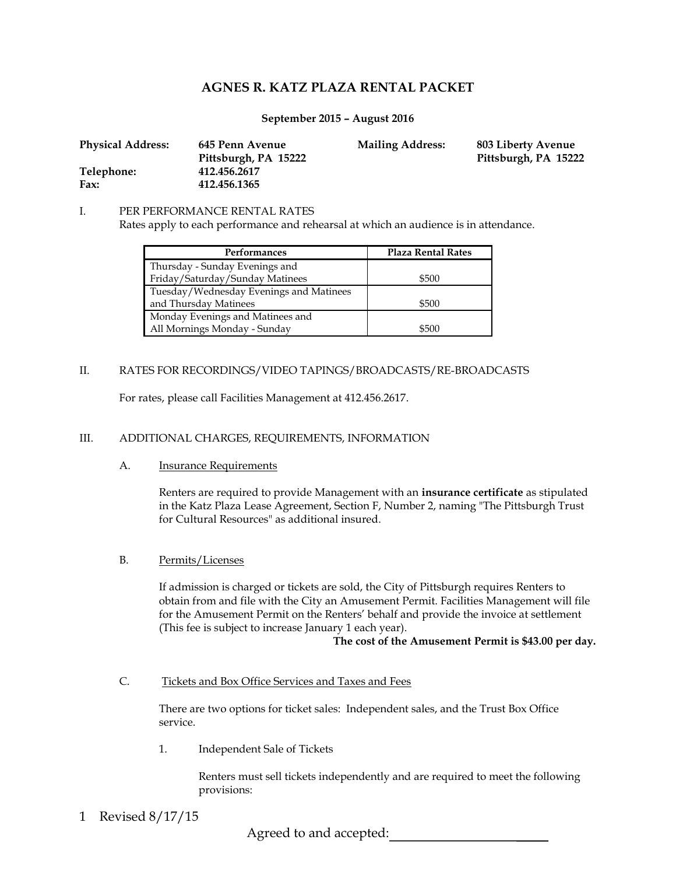# **AGNES R. KATZ PLAZA RENTAL PACKET**

## **September 2015 – August 2016**

| <b>Physical Address:</b> | 645 Penn Avenue      | <b>Mailing Address:</b> | 803 Liberty Avenue   |
|--------------------------|----------------------|-------------------------|----------------------|
|                          | Pittsburgh, PA 15222 |                         | Pittsburgh, PA 15222 |
| Telephone:               | 412.456.2617         |                         |                      |
| Fax:                     | 412.456.1365         |                         |                      |

#### I. PER PERFORMANCE RENTAL RATES

Rates apply to each performance and rehearsal at which an audience is in attendance.

| <b>Performances</b>                     | <b>Plaza Rental Rates</b> |  |
|-----------------------------------------|---------------------------|--|
| Thursday - Sunday Evenings and          |                           |  |
| Friday/Saturday/Sunday Matinees         | \$500                     |  |
| Tuesday/Wednesday Evenings and Matinees |                           |  |
| and Thursday Matinees                   | \$500                     |  |
| Monday Evenings and Matinees and        |                           |  |
| All Mornings Monday - Sunday            | \$500                     |  |

# II. RATES FOR RECORDINGS/VIDEO TAPINGS/BROADCASTS/RE-BROADCASTS

For rates, please call Facilities Management at 412.456.2617.

# III. ADDITIONAL CHARGES, REQUIREMENTS, INFORMATION

#### A. Insurance Requirements

Renters are required to provide Management with an **insurance certificate** as stipulated in the Katz Plaza Lease Agreement, Section F, Number 2, naming "The Pittsburgh Trust for Cultural Resources" as additional insured.

#### B. Permits/Licenses

If admission is charged or tickets are sold, the City of Pittsburgh requires Renters to obtain from and file with the City an Amusement Permit. Facilities Management will file for the Amusement Permit on the Renters' behalf and provide the invoice at settlement (This fee is subject to increase January 1 each year).

**The cost of the Amusement Permit is \$43.00 per day.** 

C. Tickets and Box Office Services and Taxes and Fees

There are two options for ticket sales: Independent sales, and the Trust Box Office service.

1. Independent Sale of Tickets

Renters must sell tickets independently and are required to meet the following provisions:

Revised 8/17/15 1

Agreed to and accepted: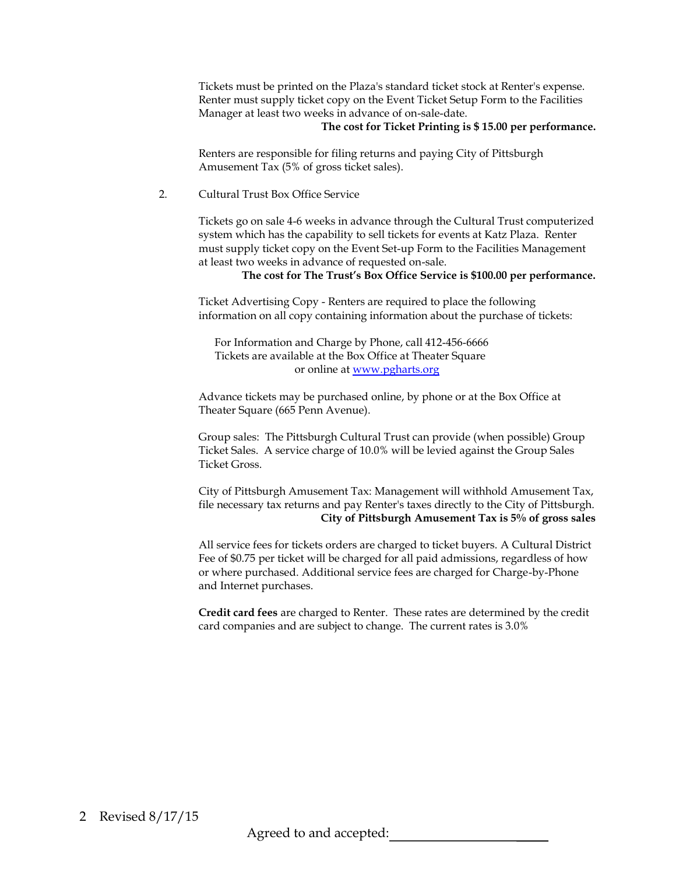Tickets must be printed on the Plaza's standard ticket stock at Renter's expense. Renter must supply ticket copy on the Event Ticket Setup Form to the Facilities Manager at least two weeks in advance of on-sale-date.

#### **The cost for Ticket Printing is \$ 15.00 per performance.**

Renters are responsible for filing returns and paying City of Pittsburgh Amusement Tax (5% of gross ticket sales).

## 2. Cultural Trust Box Office Service

Tickets go on sale 4-6 weeks in advance through the Cultural Trust computerized system which has the capability to sell tickets for events at Katz Plaza. Renter must supply ticket copy on the Event Set-up Form to the Facilities Management at least two weeks in advance of requested on-sale.

## **The cost for The Trust's Box Office Service is \$100.00 per performance.**

Ticket Advertising Copy - Renters are required to place the following information on all copy containing information about the purchase of tickets:

 For Information and Charge by Phone, call 412-456-6666 Tickets are available at the Box Office at Theater Square or online a[t www.pgharts.org](http://www.pgharts.org/)

Advance tickets may be purchased online, by phone or at the Box Office at Theater Square (665 Penn Avenue).

Group sales: The Pittsburgh Cultural Trust can provide (when possible) Group Ticket Sales. A service charge of 10.0% will be levied against the Group Sales Ticket Gross.

City of Pittsburgh Amusement Tax: Management will withhold Amusement Tax, file necessary tax returns and pay Renter's taxes directly to the City of Pittsburgh. **City of Pittsburgh Amusement Tax is 5% of gross sales**

All service fees for tickets orders are charged to ticket buyers. A Cultural District Fee of \$0.75 per ticket will be charged for all paid admissions, regardless of how or where purchased. Additional service fees are charged for Charge-by-Phone and Internet purchases.

**Credit card fees** are charged to Renter. These rates are determined by the credit card companies and are subject to change. The current rates is 3.0%

Agreed to and accepted: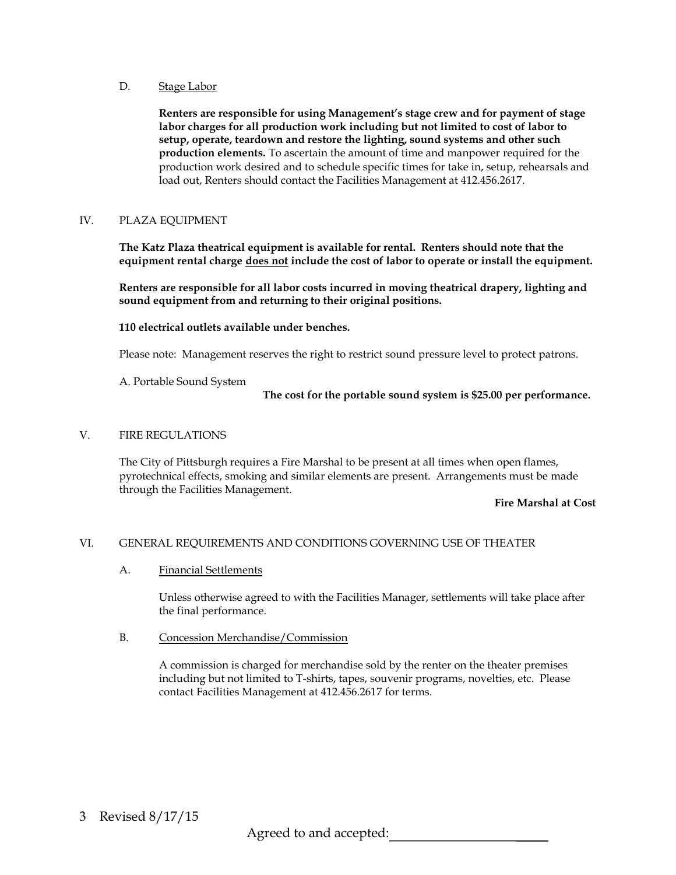#### D. Stage Labor

**Renters are responsible for using Management's stage crew and for payment of stage labor charges for all production work including but not limited to cost of labor to setup, operate, teardown and restore the lighting, sound systems and other such production elements.** To ascertain the amount of time and manpower required for the production work desired and to schedule specific times for take in, setup, rehearsals and load out, Renters should contact the Facilities Management at 412.456.2617.

# IV. PLAZA EQUIPMENT

**The Katz Plaza theatrical equipment is available for rental. Renters should note that the equipment rental charge does not include the cost of labor to operate or install the equipment.**

**Renters are responsible for all labor costs incurred in moving theatrical drapery, lighting and sound equipment from and returning to their original positions.**

**110 electrical outlets available under benches.**

Please note: Management reserves the right to restrict sound pressure level to protect patrons.

A. Portable Sound System

**The cost for the portable sound system is \$25.00 per performance.**

## V. FIRE REGULATIONS

The City of Pittsburgh requires a Fire Marshal to be present at all times when open flames, pyrotechnical effects, smoking and similar elements are present. Arrangements must be made through the Facilities Management.

#### **Fire Marshal at Cost**

# VI. GENERAL REQUIREMENTS AND CONDITIONS GOVERNING USE OF THEATER

A. Financial Settlements

Unless otherwise agreed to with the Facilities Manager, settlements will take place after the final performance.

B. Concession Merchandise/Commission

A commission is charged for merchandise sold by the renter on the theater premises including but not limited to T-shirts, tapes, souvenir programs, novelties, etc. Please contact Facilities Management at 412.456.2617 for terms.